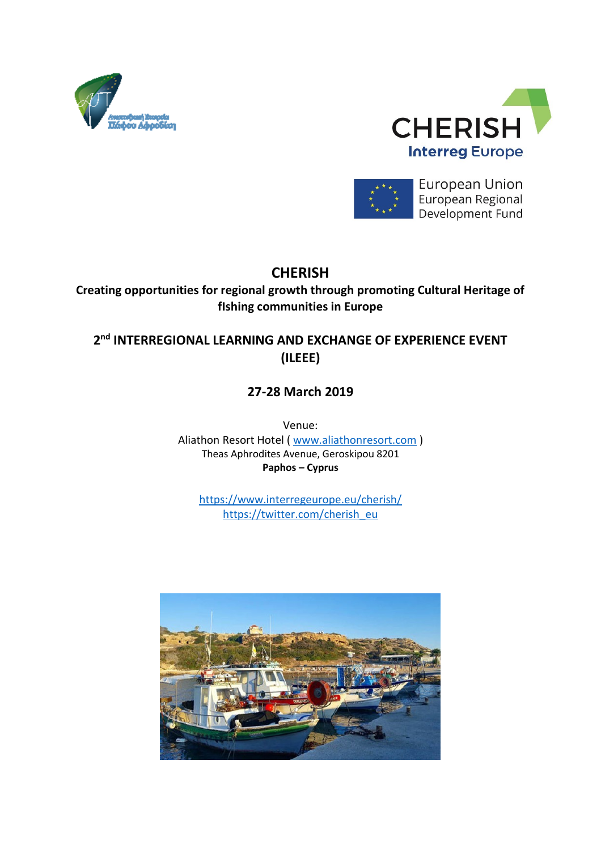





**European Union** European Regional Development Fund

## **CHERISH**

**Creating opportunities for regional growth through promoting Cultural Heritage of fIshing communities in Europe**

### **2 nd INTERREGIONAL LEARNING AND EXCHANGE OF EXPERIENCE EVENT (ILEEE)**

## **27-28 March 2019**

Venue: Aliathon Resort Hotel ( [www.aliathonresort.com](http://www.aliathonresort.com/) ) Theas Aphrodites Avenue, Geroskipou 8201 **Paphos – Cyprus**

<https://www.interregeurope.eu/cherish/> [https://twitter.com/cherish\\_eu](https://twitter.com/cherish_eu)

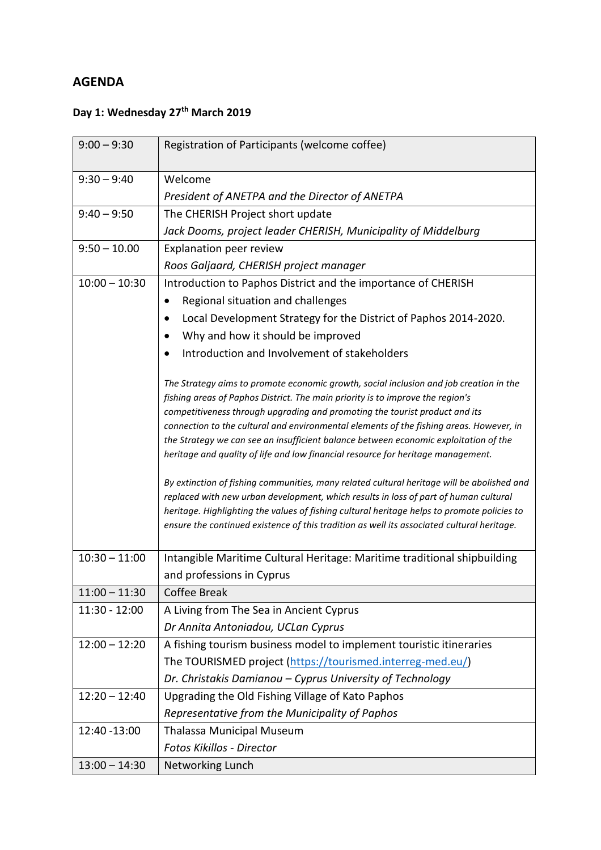#### **AGENDA**

# **Day 1: Wednesday 27th March 2019**

| $9:00 - 9:30$   | Registration of Participants (welcome coffee)                                                                                                                                                                                                                                                                                                                                   |
|-----------------|---------------------------------------------------------------------------------------------------------------------------------------------------------------------------------------------------------------------------------------------------------------------------------------------------------------------------------------------------------------------------------|
| $9:30 - 9:40$   | Welcome                                                                                                                                                                                                                                                                                                                                                                         |
|                 | President of ANETPA and the Director of ANETPA                                                                                                                                                                                                                                                                                                                                  |
| $9:40 - 9:50$   | The CHERISH Project short update                                                                                                                                                                                                                                                                                                                                                |
|                 | Jack Dooms, project leader CHERISH, Municipality of Middelburg                                                                                                                                                                                                                                                                                                                  |
| $9:50 - 10.00$  | Explanation peer review                                                                                                                                                                                                                                                                                                                                                         |
|                 | Roos Galjaard, CHERISH project manager                                                                                                                                                                                                                                                                                                                                          |
| $10:00 - 10:30$ | Introduction to Paphos District and the importance of CHERISH                                                                                                                                                                                                                                                                                                                   |
|                 | Regional situation and challenges                                                                                                                                                                                                                                                                                                                                               |
|                 | Local Development Strategy for the District of Paphos 2014-2020.<br>٠                                                                                                                                                                                                                                                                                                           |
|                 | Why and how it should be improved                                                                                                                                                                                                                                                                                                                                               |
|                 | Introduction and Involvement of stakeholders                                                                                                                                                                                                                                                                                                                                    |
|                 | The Strategy aims to promote economic growth, social inclusion and job creation in the<br>fishing areas of Paphos District. The main priority is to improve the region's                                                                                                                                                                                                        |
|                 | competitiveness through upgrading and promoting the tourist product and its                                                                                                                                                                                                                                                                                                     |
|                 | connection to the cultural and environmental elements of the fishing areas. However, in                                                                                                                                                                                                                                                                                         |
|                 | the Strategy we can see an insufficient balance between economic exploitation of the<br>heritage and quality of life and low financial resource for heritage management.                                                                                                                                                                                                        |
|                 | By extinction of fishing communities, many related cultural heritage will be abolished and<br>replaced with new urban development, which results in loss of part of human cultural<br>heritage. Highlighting the values of fishing cultural heritage helps to promote policies to<br>ensure the continued existence of this tradition as well its associated cultural heritage. |
| $10:30 - 11:00$ | Intangible Maritime Cultural Heritage: Maritime traditional shipbuilding                                                                                                                                                                                                                                                                                                        |
|                 | and professions in Cyprus                                                                                                                                                                                                                                                                                                                                                       |
| $11:00 - 11:30$ | <b>Coffee Break</b>                                                                                                                                                                                                                                                                                                                                                             |
| 11:30 - 12:00   | A Living from The Sea in Ancient Cyprus                                                                                                                                                                                                                                                                                                                                         |
|                 | Dr Annita Antoniadou, UCLan Cyprus                                                                                                                                                                                                                                                                                                                                              |
| $12:00 - 12:20$ | A fishing tourism business model to implement touristic itineraries                                                                                                                                                                                                                                                                                                             |
|                 | The TOURISMED project (https://tourismed.interreg-med.eu/)                                                                                                                                                                                                                                                                                                                      |
|                 | Dr. Christakis Damianou - Cyprus University of Technology                                                                                                                                                                                                                                                                                                                       |
| $12:20 - 12:40$ | Upgrading the Old Fishing Village of Kato Paphos                                                                                                                                                                                                                                                                                                                                |
|                 | Representative from the Municipality of Paphos                                                                                                                                                                                                                                                                                                                                  |
| 12:40 - 13:00   | Thalassa Municipal Museum                                                                                                                                                                                                                                                                                                                                                       |
|                 | Fotos Kikillos - Director                                                                                                                                                                                                                                                                                                                                                       |
| $13:00 - 14:30$ | Networking Lunch                                                                                                                                                                                                                                                                                                                                                                |